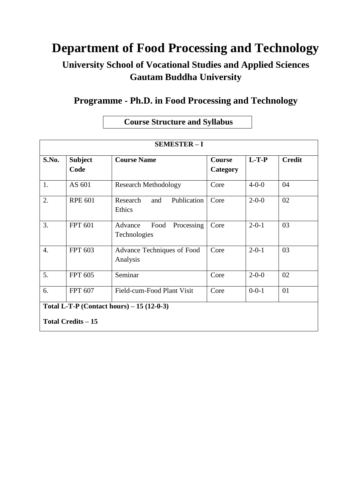# **Department of Food Processing and Technology**

## **University School of Vocational Studies and Applied Sciences Gautam Buddha University**

### **Programme - Ph.D. in Food Processing and Technology**

### **Course Structure and Syllabus**

| <b>SEMESTER-I</b>                                  |                        |                                               |                    |             |               |
|----------------------------------------------------|------------------------|-----------------------------------------------|--------------------|-------------|---------------|
| S.No.                                              | <b>Subject</b><br>Code | <b>Course Name</b>                            | Course<br>Category | $L-T-P$     | <b>Credit</b> |
| 1.                                                 | AS 601                 | <b>Research Methodology</b>                   | Core               | $4 - 0 - 0$ | 04            |
| 2.                                                 | <b>RPE 601</b>         | Research<br>Publication<br>and<br>Ethics      | Core               | $2 - 0 - 0$ | 02            |
| 3.                                                 | <b>FPT 601</b>         | Food<br>Processing<br>Advance<br>Technologies | Core               | $2 - 0 - 1$ | 03            |
| $\overline{4}$ .                                   | <b>FPT 603</b>         | Advance Techniques of Food<br>Analysis        | Core               | $2 - 0 - 1$ | 03            |
| 5.                                                 | <b>FPT 605</b>         | Seminar                                       | Core               | $2 - 0 - 0$ | 02            |
| 6.                                                 | <b>FPT 607</b>         | Field-cum-Food Plant Visit                    | Core               | $0 - 0 - 1$ | 01            |
| <b>Total L-T-P (Contact hours)</b> $- 15 (12-0-3)$ |                        |                                               |                    |             |               |
| <b>Total Credits - 15</b>                          |                        |                                               |                    |             |               |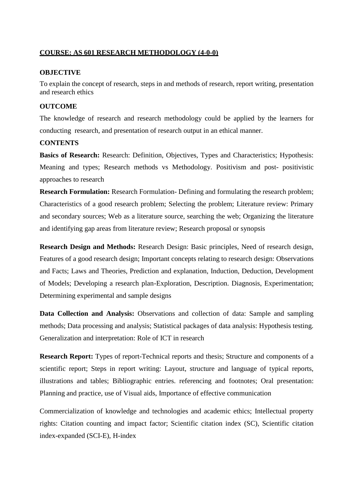#### **COURSE: AS 601 RESEARCH METHODOLOGY (4-0-0)**

#### **OBJECTIVE**

To explain the concept of research, steps in and methods of research, report writing, presentation and research ethics

#### **OUTCOME**

The knowledge of research and research methodology could be applied by the learners for conducting research, and presentation of research output in an ethical manner.

#### **CONTENTS**

**Basics of Research:** Research: Definition, Objectives, Types and Characteristics; Hypothesis: Meaning and types; Research methods vs Methodology. Positivism and post- positivistic approaches to research

**Research Formulation:** Research Formulation- Defining and formulating the research problem; Characteristics of a good research problem; Selecting the problem; Literature review: Primary and secondary sources; Web as a literature source, searching the web; Organizing the literature and identifying gap areas from literature review; Research proposal or synopsis

**Research Design and Methods:** Research Design: Basic principles, Need of research design, Features of a good research design; Important concepts relating to research design: Observations and Facts; Laws and Theories, Prediction and explanation, Induction, Deduction, Development of Models; Developing a research plan-Exploration, Description. Diagnosis, Experimentation; Determining experimental and sample designs

**Data Collection and Analysis:** Observations and collection of data: Sample and sampling methods; Data processing and analysis; Statistical packages of data analysis: Hypothesis testing. Generalization and interpretation: Role of ICT in research

**Research Report:** Types of report-Technical reports and thesis; Structure and components of a scientific report; Steps in report writing: Layout, structure and language of typical reports, illustrations and tables; Bibliographic entries. referencing and footnotes; Oral presentation: Planning and practice, use of Visual aids, Importance of effective communication

Commercialization of knowledge and technologies and academic ethics; Intellectual property rights: Citation counting and impact factor; Scientific citation index (SC), Scientific citation index-expanded (SCI-E), H-index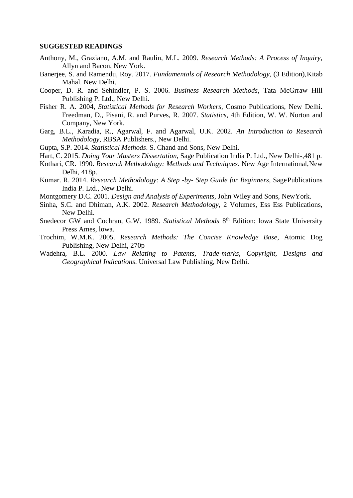#### **SUGGESTED READINGS**

- Anthony, M., Graziano, A.M. and Raulin, M.L. 2009. *Research Methods: A Process of Inquiry*, Allyn and Bacon, New York.
- Banerjee, S. and Ramendu, Roy. 2017. *Fundamentals of Research Methodology*, (3 Edition),Kitab Mahal. New Delhi.
- Cooper, D. R. and Sehindler, P. S. 2006. *Business Research Methods*, Tata McGrraw Hill Publishing P. Ltd., New Delhi.
- Fisher R. A. 2004, *Statistical Methods for Research Workers*, Cosmo Publications, New Delhi. Freedman, D., Pisani, R. and Purves, R. 2007. *Statistics*, 4th Edition, W. W. Norton and Company, New York.
- Garg, B.L., Karadia, R., Agarwal, F. and Agarwal, U.K. 2002. *An Introduction to Research Methodology*, RBSA Publishers., New Delhi.
- Gupta, S.P. 2014. *Statistical Methods*. S. Chand and Sons, New Delhi.
- Hart, C. 2015. *Doing Your Masters Dissertation*, Sage Publication India P. Ltd., New Delhi-,481 p.
- Kothari, CR. 1990. *Research Methodology: Methods and Techniques*. New Age International,New Delhi, 418p.
- Kumar. R. 2014. *Research Methodology: A Step -by- Step Guide for Beginners*, SagePublications India P. Ltd., New Delhi.
- Montgomery D.C. 2001. *Design and Analysis of Experiments*, John Wiley and Sons, NewYork.
- Sinha, S.C. and Dhiman, A.K. 2002. *Research Methodology*, 2 Volumes, Ess Ess Publications, New Delhi.
- Snedecor GW and Cochran, G.W. 1989. Statistical Methods 8<sup>th</sup> Edition: lowa State University Press Ames, lowa.
- Trochim, W.M.K. 2005. *Research Methods: The Concise Knowledge Base*, Atomic Dog Publishing, New Delhi, 270p
- Wadehra, B.L. 2000. *Law Relating to Patents, Trade-marks, Copyright, Designs and Geographical Indications*. Universal Law Publishing, New Delhi.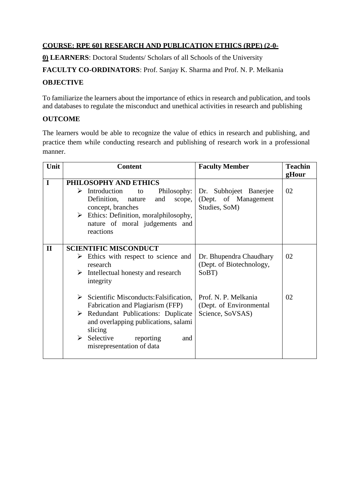#### **COURSE: RPE 601 RESEARCH AND PUBLICATION ETHICS (RPE) (2-0-**

**0) LEARNERS**: Doctoral Students/ Scholars of all Schools of the University

**FACULTY CO-ORDINATORS**: Prof. Sanjay K. Sharma and Prof. N. P. Melkania

#### **OBJECTIVE**

To familiarize the learners about the importance of ethics in research and publication, and tools and databases to regulate the misconduct and unethical activities in research and publishing

#### **OUTCOME**

The learners would be able to recognize the value of ethics in research and publishing, and practice them while conducting research and publishing of research work in a professional manner.

| Unit         | <b>Content</b>               |                                                         | <b>Faculty Member</b>    | <b>Teachin</b> |
|--------------|------------------------------|---------------------------------------------------------|--------------------------|----------------|
|              |                              |                                                         |                          | gHour          |
| $\mathbf I$  |                              | PHILOSOPHY AND ETHICS                                   |                          |                |
|              | ➤                            | Introduction<br>Philosophy:<br>to                       | Dr. Subhojeet Banerjee   | 02             |
|              |                              | Definition, nature<br>and<br>scope,                     | (Dept. of Management     |                |
|              |                              | concept, branches                                       | Studies, SoM)            |                |
|              | $\blacktriangleright$        | Ethics: Definition, moralphilosophy,                    |                          |                |
|              |                              | nature of moral judgements and                          |                          |                |
|              |                              | reactions                                               |                          |                |
|              |                              |                                                         |                          |                |
| $\mathbf{I}$ | <b>SCIENTIFIC MISCONDUCT</b> |                                                         |                          |                |
|              |                              | $\triangleright$ Ethics with respect to science and     | Dr. Bhupendra Chaudhary  | 02             |
|              |                              | research                                                | (Dept. of Biotechnology, |                |
|              |                              | $\triangleright$ Intellectual honesty and research      | SoBT)                    |                |
|              |                              | integrity                                               |                          |                |
|              |                              |                                                         |                          |                |
|              |                              | $\triangleright$ Scientific Misconducts: Falsification, | Prof. N. P. Melkania     | 02             |
|              |                              | Fabrication and Plagiarism (FFP)                        | (Dept. of Environmental  |                |
|              |                              | $\triangleright$ Redundant Publications: Duplicate      | Science, SoVSAS)         |                |
|              |                              | and overlapping publications, salami                    |                          |                |
|              |                              | slicing                                                 |                          |                |
|              | ➤                            | Selective<br>reporting<br>and                           |                          |                |
|              |                              | misrepresentation of data                               |                          |                |
|              |                              |                                                         |                          |                |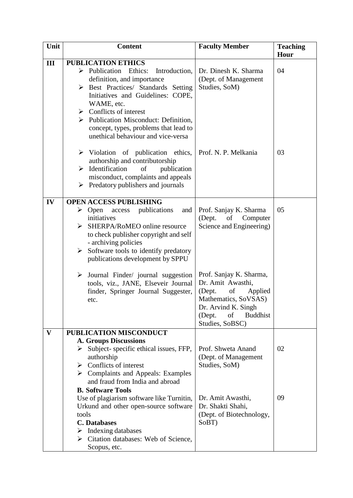| Unit         | <b>Content</b>                                                                                                                                                                                                                                                                                                                                                                                                                                                                                                                            | <b>Faculty Member</b>                                                                                                                             | <b>Teaching</b> |
|--------------|-------------------------------------------------------------------------------------------------------------------------------------------------------------------------------------------------------------------------------------------------------------------------------------------------------------------------------------------------------------------------------------------------------------------------------------------------------------------------------------------------------------------------------------------|---------------------------------------------------------------------------------------------------------------------------------------------------|-----------------|
|              |                                                                                                                                                                                                                                                                                                                                                                                                                                                                                                                                           |                                                                                                                                                   | Hour            |
| III          | <b>PUBLICATION ETHICS</b><br>Publication Ethics:<br>Introduction,<br>➤<br>definition, and importance<br>> Best Practices/ Standards Setting<br>Initiatives and Guidelines: COPE,<br>WAME, etc.<br>$\triangleright$ Conflicts of interest<br>> Publication Misconduct: Definition,<br>concept, types, problems that lead to<br>unethical behaviour and vice-versa<br>$\triangleright$ Violation of publication ethics,<br>authorship and contributorship<br>Identification<br>of<br>publication<br>➤<br>misconduct, complaints and appeals | Dr. Dinesh K. Sharma<br>(Dept. of Management<br>Studies, SoM)<br>Prof. N. P. Melkania                                                             | 04<br>03        |
|              | Predatory publishers and journals<br>➤                                                                                                                                                                                                                                                                                                                                                                                                                                                                                                    |                                                                                                                                                   |                 |
| IV           | <b>OPEN ACCESS PUBLISHING</b><br>$\triangleright$ Open<br>publications<br>access<br>and<br>initiatives<br>SHERPA/RoMEO online resource<br>➤<br>to check publisher copyright and self<br>- archiving policies<br>Software tools to identify predatory<br>➤<br>publications development by SPPU<br>Journal Finder/ journal suggestion<br>$\blacktriangleright$                                                                                                                                                                              | Prof. Sanjay K. Sharma<br>(Dept.<br>of<br>Computer<br>Science and Engineering)<br>Prof. Sanjay K. Sharma,                                         | 05              |
|              | tools, viz., JANE, Elseveir Journal<br>finder, Springer Journal Suggester,<br>etc.                                                                                                                                                                                                                                                                                                                                                                                                                                                        | Dr. Amit Awasthi,<br>(Dept.<br>of<br>Applied<br>Mathematics, SoVSAS)<br>Dr. Arvind K. Singh<br><b>Buddhist</b><br>(Dept.<br>of<br>Studies, SoBSC) |                 |
| $\mathbf{V}$ | PUBLICATION MISCONDUCT                                                                                                                                                                                                                                                                                                                                                                                                                                                                                                                    |                                                                                                                                                   |                 |
|              | <b>A. Groups Discussions</b><br>Subject-specific ethical issues, FFP,<br>➤<br>authorship<br>Conflicts of interest<br>➤<br>$\triangleright$ Complaints and Appeals: Examples<br>and fraud from India and abroad<br><b>B. Software Tools</b>                                                                                                                                                                                                                                                                                                | Prof. Shweta Anand<br>(Dept. of Management<br>Studies, SoM)                                                                                       | 02              |
|              | Use of plagiarism software like Turnitin,<br>Urkund and other open-source software<br>tools<br><b>C.</b> Databases<br>Indexing databases<br>➤<br>Citation databases: Web of Science,<br>➤<br>Scopus, etc.                                                                                                                                                                                                                                                                                                                                 | Dr. Amit Awasthi,<br>Dr. Shakti Shahi,<br>(Dept. of Biotechnology,<br>SoBT)                                                                       | 09              |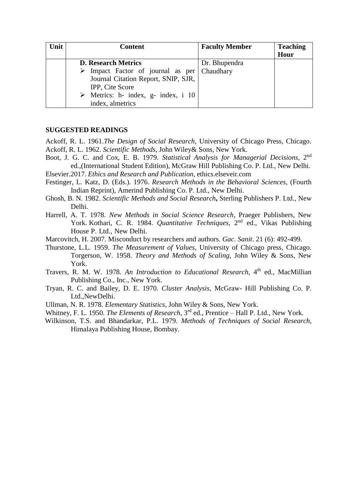| Unit | <b>Content</b>                                     | <b>Faculty Member</b> | <b>Teaching</b> |
|------|----------------------------------------------------|-----------------------|-----------------|
|      |                                                    |                       | Hour            |
|      | <b>D. Research Metrics</b>                         | Dr. Bhupendra         |                 |
|      | Impact Factor of journal as per Chaudhary          |                       |                 |
|      | Journal Citation Report, SNIP, SJR,                |                       |                 |
|      | IPP, Cite Score                                    |                       |                 |
|      | $\triangleright$ Metrics: h- index, g- index, i 10 |                       |                 |
|      | index, almetrics                                   |                       |                 |

#### **SUGGESTED READINGS**

Ackoff, R. L. 1961.*The Design of Social Research*, University of Chicago Press, Chicago. Ackoff, R. L. 1962. *Scientific Methods*, John Wiley& Sons, New York.

- Boot, J. G. C. and Cox, E. B. 1979. *Statistical Analysis for Managerial Decisions*, 2<sup>nd</sup> ed.,(International Student Edition), McGraw Hill Publishing Co. P. Ltd., New Delhi. Elsevier.2017. *Ethics and Research and Publication*, ethics.elseveir.com
- Festinger, L. Katz, D. (Eds.). 1976. *Research Methods in the Behavioral Sciences*, (Fourth Indian Reprint), Amerind Publishing Co. P. Ltd., New Delhi.
- Ghosh, B. N. 1982. *Scientific Methods and Social Research***,** Sterling Publishers P. Ltd., New Delhi.
- Harrell, A. T. 1978. *New Methods in Social Science Research*, Praeger Publishers, New York. Kothari, C. R. 1984. *Quantitative Techniques*, 2<sup>nd</sup> ed., Vikas Publishing House P. Ltd., New Delhi.
- Marcovitch, H. 2007. Misconduct by researchers and authors. *Gac. Sanit*. 21 (6): 492-499.
- Thurstone, L.L. 1959. *The Measurement of Values*, University of Chicago press, Chicago. Torgerson, W. 1958. *Theory and Methods of Scaling*, John Wiley & Sons, New York.
- Travers, R. M. W. 1978. *An Introduction to Educational Research*, 4 th ed., MacMillian Publishing Co., Inc., New York.
- Tryan, R. C. and Bailey, D. E. 1970. *Cluster Analysis*, McGraw- Hill Publishing Co. P. Ltd.,NewDelhi.
- Ullman, N. R. 1978. *Elementary Statistics*, John Wiley & Sons, New York.
- Whitney, F. L. 1950. *The Elements of Research*, 3rd ed., Prentice Hall P. Ltd., New York.
- Wilkinson, T.S. and Bhandarkar, P.L. 1979. *Methods of Techniques of Social Research*, Himalaya Publishing House, Bombay.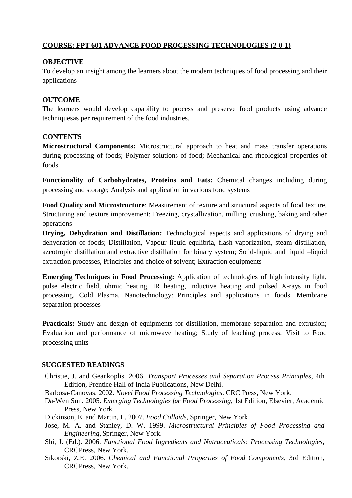#### **COURSE: FPT 601 ADVANCE FOOD PROCESSING TECHNOLOGIES (2-0-1)**

#### **OBJECTIVE**

To develop an insight among the learners about the modern techniques of food processing and their applications

#### **OUTCOME**

The learners would develop capability to process and preserve food products using advance techniquesas per requirement of the food industries.

#### **CONTENTS**

**Microstructural Components:** Microstructural approach to heat and mass transfer operations during processing of foods; Polymer solutions of food; Mechanical and rheological properties of foods

**Functionality of Carbohydrates, Proteins and Fats:** Chemical changes including during processing and storage; Analysis and application in various food systems

**Food Quality and Microstructure**: Measurement of texture and structural aspects of food texture, Structuring and texture improvement; Freezing, crystallization, milling, crushing, baking and other operations

**Drying, Dehydration and Distillation:** Technological aspects and applications of drying and dehydration of foods; Distillation, Vapour liquid equlibria, flash vaporization, steam distillation, azeotropic distillation and extractive distillation for binary system; Solid-liquid and liquid –liquid extraction processes, Principles and choice of solvent; Extraction equipments

**Emerging Techniques in Food Processing:** Application of technologies of high intensity light, pulse electric field, ohmic heating, IR heating, inductive heating and pulsed X-rays in food processing, Cold Plasma, Nanotechnology: Principles and applications in foods. Membrane separation processes

**Practicals:** Study and design of equipments for distillation, membrane separation and extrusion; Evaluation and performance of microwave heating; Study of leaching process; Visit to Food processing units

#### **SUGGESTED READINGS**

Christie, J. and Geankoplis. 2006. *Transport Processes and Separation Process Principles*, 4th Edition, Prentice Hall of India Publications, New Delhi.

Barbosa-Canovas. 2002. *Novel Food Processing Technologies*. CRC Press, New York.

- Da-Wen Sun. 2005. *Emerging Technologies for Food Processing,* 1st Edition, Elsevier, Academic Press, New York.
- Dickinson, E. and Martin, E. 2007. *Food Colloids*, Springer, New York
- Jose, M. A. and Stanley, D. W. 1999. *Microstructural Principles of Food Processing and Engineering*, Springer, New York.
- Shi, J. (Ed.). 2006. *Functional Food Ingredients and Nutraceuticals: Processing Technologies,* CRCPress, New York.
- Sikorski, Z.E. 2006. *Chemical and Functional Properties of Food Components*, 3rd Edition, CRCPress, New York.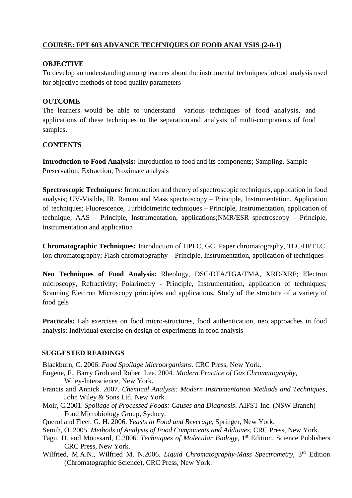#### **COURSE: FPT 603 ADVANCE TECHNIQUES OF FOOD ANALYSIS (2-0-1)**

#### **OBJECTIVE**

To develop an understanding among learners about the instrumental techniques infood analysis used for objective methods of food quality parameters

#### **OUTCOME**

The learners would be able to understand various techniques of food analysis, and applications of these techniques to the separation and analysis of multi-components of food samples.

#### **CONTENTS**

**Introduction to Food Analysis:** Introduction to food and its components; Sampling, Sample Preservation; Extraction; Proximate analysis

**Spectroscopic Techniques:** Introduction and theory of spectroscopic techniques, application in food analysis; UV-Visible, IR, Raman and Mass spectroscopy – Principle, Instrumentation, Application of techniques; Fluorescence, Turbidoimetric techniques – Principle, Instrumentation, application of technique; AAS – Principle, Instrumentation, applications;NMR/ESR spectroscopy – Principle, Instrumentation and application

**Chromatographic Techniques:** Introduction of HPLC, GC, Paper chromatography, TLC/HPTLC, Ion chromatography; Flash chromatography – Principle, Instrumentation, application of techniques

**Neo Techniques of Food Analysis:** Rheology, DSC/DTA/TGA/TMA, XRD/XRF; Electron microscopy, Refractivity; Polarimetry - Principle, Instrumentation, application of techniques; Scanning Electron Microscopy principles and applications, Study of the structure of a variety of food gels

**Practicals:** Lab exercises on food micro-structures, food authentication, neo approaches in food analysis; Individual exercise on design of experiments in food analysis

#### **SUGGESTED READINGS**

Blackburn, C. 2006. *Food Spoilage Microorganisms*. CRC Press, New York.

- Eugene, F., Barry Grob and Robert Lee. 2004. *Modern Practice of Gas Chromatography*, Wiley-Interscience, New York.
- Francis and Annick. 2007. *Chemical Analysis: Modern Instrumentation Methods and Techniques*, John Wiley & Sons Ltd. New York.
- Moir, C.2001. *Spoilage of Processed Foods: Causes and Diagnosis*. AIFST Inc. (NSW Branch) Food Microbiology Group, Sydney.
- Querol and Fleet, G. H. 2006. *Yeasts in Food and Beverage*, Springer, New York.
- Semih, O. 2005. *Methods of Analysis of Food Components and Additives*, CRC Press, New York.
- Tagu, D. and Moussard, C.2006. *Techniques of Molecular Biology,* 1 st Edition, Science Publishers CRC Press, New York.
- Wilfried, M.A.N., Wilfried M. N.2006. *Liquid Chromatography-Mass Spectrometry*, 3 rd Edition (Chromatographic Science), CRC Press, New York.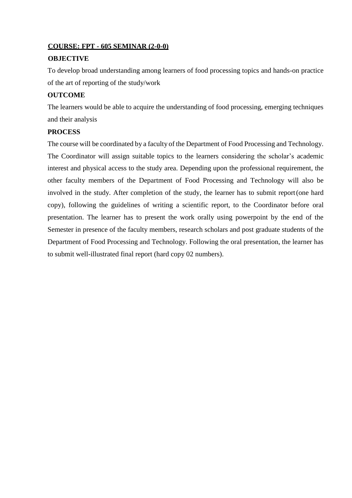#### **COURSE: FPT - 605 SEMINAR (2-0-0)**

#### **OBJECTIVE**

To develop broad understanding among learners of food processing topics and hands-on practice of the art of reporting of the study/work

#### **OUTCOME**

The learners would be able to acquire the understanding of food processing, emerging techniques and their analysis

#### **PROCESS**

The course will be coordinated by a faculty of the Department of Food Processing and Technology. The Coordinator will assign suitable topics to the learners considering the scholar's academic interest and physical access to the study area. Depending upon the professional requirement, the other faculty members of the Department of Food Processing and Technology will also be involved in the study. After completion of the study, the learner has to submit report(one hard copy), following the guidelines of writing a scientific report, to the Coordinator before oral presentation. The learner has to present the work orally using powerpoint by the end of the Semester in presence of the faculty members, research scholars and post graduate students of the Department of Food Processing and Technology. Following the oral presentation, the learner has to submit well-illustrated final report (hard copy 02 numbers).